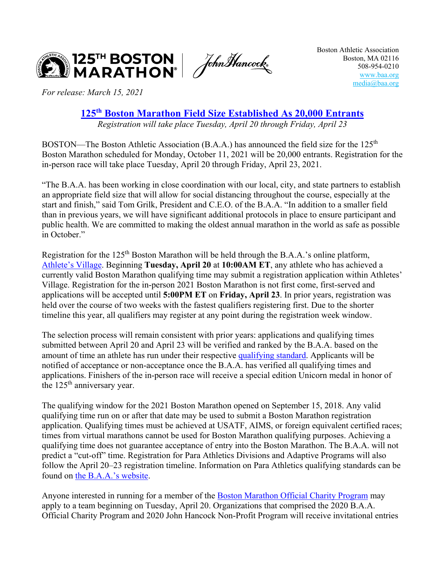

*For release: March 15, 2021* 

**125th [Boston Marathon Field Size Established As](http://bit.ly/21BMField) 20,000 Entrants**

*Registration will take place Tuesday, April 20 through Friday, April 23* 

BOSTON—The Boston Athletic Association (B.A.A.) has announced the field size for the  $125<sup>th</sup>$ Boston Marathon scheduled for Monday, October 11, 2021 will be 20,000 entrants. Registration for the in-person race will take place Tuesday, April 20 through Friday, April 23, 2021.

"The B.A.A. has been working in close coordination with our local, city, and state partners to establish an appropriate field size that will allow for social distancing throughout the course, especially at the start and finish," said Tom Grilk, President and C.E.O. of the B.A.A. "In addition to a smaller field than in previous years, we will have significant additional protocols in place to ensure participant and public health. We are committed to making the oldest annual marathon in the world as safe as possible in October."

Registration for the 125<sup>th</sup> Boston Marathon will be held through the B.A.A.'s online platform, [Athlete's Village.](https://sforce.co/3iUSLr6) Beginning **Tuesday, April 20** at **10:00AM ET**, any athlete who has achieved a currently valid Boston Marathon qualifying time may submit a registration application within Athletes' Village. Registration for the in-person 2021 Boston Marathon is not first come, first-served and applications will be accepted until **5:00PM ET** on **Friday, April 23**. In prior years, registration was held over the course of two weeks with the fastest qualifiers registering first. Due to the shorter timeline this year, all qualifiers may register at any point during the registration week window.

The selection process will remain consistent with prior years: applications and qualifying times submitted between April 20 and April 23 will be verified and ranked by the B.A.A. based on the amount of time an athlete has run under their respective [qualifying standard.](https://www.baa.org/races/boston-marathon/qualify) Applicants will be notified of acceptance or non-acceptance once the B.A.A. has verified all qualifying times and applications. Finishers of the in-person race will receive a special edition Unicorn medal in honor of the  $125<sup>th</sup>$  anniversary year.

The qualifying window for the 2021 Boston Marathon opened on September 15, 2018. Any valid qualifying time run on or after that date may be used to submit a Boston Marathon registration application. Qualifying times must be achieved at USATF, AIMS, or foreign equivalent certified races; times from virtual marathons cannot be used for Boston Marathon qualifying purposes. Achieving a qualifying time does not guarantee acceptance of entry into the Boston Marathon. The B.A.A. will not predict a "cut-off" time. Registration for Para Athletics Divisions and Adaptive Programs will also follow the April 20–23 registration timeline. Information on Para Athletics qualifying standards can be found on [the B.A.A.'s website.](http://bit.ly/38tzCIM)

Anyone interested in running for a member of the [Boston Marathon Official Charity Program](https://www.baa.org/races/boston-marathon/charity-program) may apply to a team beginning on Tuesday, April 20. Organizations that comprised the 2020 B.A.A. Official Charity Program and 2020 John Hancock Non-Profit Program will receive invitational entries